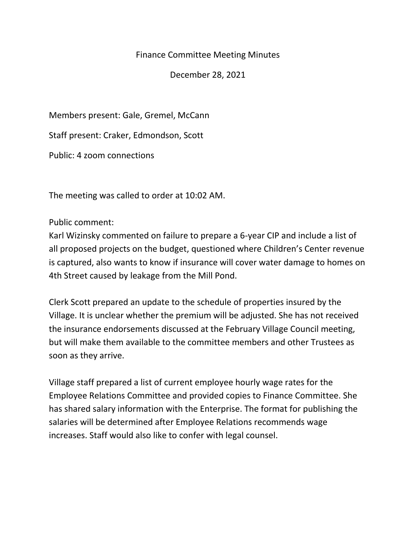## Finance Committee Meeting Minutes

December 28, 2021

Members present: Gale, Gremel, McCann

Staff present: Craker, Edmondson, Scott

Public: 4 zoom connections

The meeting was called to order at 10:02 AM.

Public comment:

Karl Wizinsky commented on failure to prepare a 6-year CIP and include a list of all proposed projects on the budget, questioned where Children's Center revenue is captured, also wants to know if insurance will cover water damage to homes on 4th Street caused by leakage from the Mill Pond.

Clerk Scott prepared an update to the schedule of properties insured by the Village. It is unclear whether the premium will be adjusted. She has not received the insurance endorsements discussed at the February Village Council meeting, but will make them available to the committee members and other Trustees as soon as they arrive.

Village staff prepared a list of current employee hourly wage rates for the Employee Relations Committee and provided copies to Finance Committee. She has shared salary information with the Enterprise. The format for publishing the salaries will be determined after Employee Relations recommends wage increases. Staff would also like to confer with legal counsel.